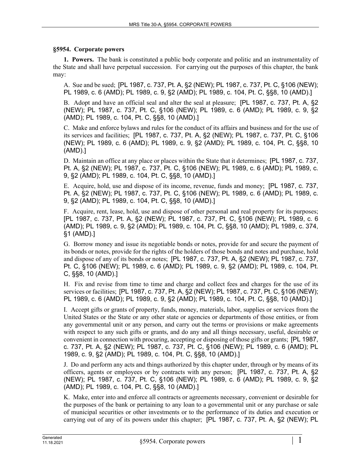## **§5954. Corporate powers**

**1. Powers.** The bank is constituted a public body corporate and politic and an instrumentality of the State and shall have perpetual succession. For carrying out the purposes of this chapter, the bank may:

A. Sue and be sued; [PL 1987, c. 737, Pt. A, §2 (NEW); PL 1987, c. 737, Pt. C, §106 (NEW); PL 1989, c. 6 (AMD); PL 1989, c. 9, §2 (AMD); PL 1989, c. 104, Pt. C, §§8, 10 (AMD).]

B. Adopt and have an official seal and alter the seal at pleasure; [PL 1987, c. 737, Pt. A, §2 (NEW); PL 1987, c. 737, Pt. C, §106 (NEW); PL 1989, c. 6 (AMD); PL 1989, c. 9, §2 (AMD); PL 1989, c. 104, Pt. C, §§8, 10 (AMD).]

C. Make and enforce bylaws and rules for the conduct of its affairs and business and for the use of its services and facilities; [PL 1987, c. 737, Pt. A, §2 (NEW); PL 1987, c. 737, Pt. C, §106 (NEW); PL 1989, c. 6 (AMD); PL 1989, c. 9, §2 (AMD); PL 1989, c. 104, Pt. C, §§8, 10 (AMD).]

D. Maintain an office at any place or places within the State that it determines; [PL 1987, c. 737, Pt. A, §2 (NEW); PL 1987, c. 737, Pt. C, §106 (NEW); PL 1989, c. 6 (AMD); PL 1989, c. 9, §2 (AMD); PL 1989, c. 104, Pt. C, §§8, 10 (AMD).]

E. Acquire, hold, use and dispose of its income, revenue, funds and money; [PL 1987, c. 737, Pt. A, §2 (NEW); PL 1987, c. 737, Pt. C, §106 (NEW); PL 1989, c. 6 (AMD); PL 1989, c. 9, §2 (AMD); PL 1989, c. 104, Pt. C, §§8, 10 (AMD).]

F. Acquire, rent, lease, hold, use and dispose of other personal and real property for its purposes; [PL 1987, c. 737, Pt. A, §2 (NEW); PL 1987, c. 737, Pt. C, §106 (NEW); PL 1989, c. 6 (AMD); PL 1989, c. 9, §2 (AMD); PL 1989, c. 104, Pt. C, §§8, 10 (AMD); PL 1989, c. 374, §1 (AMD).]

G. Borrow money and issue its negotiable bonds or notes, provide for and secure the payment of its bonds or notes, provide for the rights of the holders of those bonds and notes and purchase, hold and dispose of any of its bonds or notes; [PL 1987, c. 737, Pt. A, §2 (NEW); PL 1987, c. 737, Pt. C, §106 (NEW); PL 1989, c. 6 (AMD); PL 1989, c. 9, §2 (AMD); PL 1989, c. 104, Pt. C, §§8, 10 (AMD).]

H. Fix and revise from time to time and charge and collect fees and charges for the use of its services or facilities; [PL 1987, c. 737, Pt. A, §2 (NEW); PL 1987, c. 737, Pt. C, §106 (NEW); PL 1989, c. 6 (AMD); PL 1989, c. 9, §2 (AMD); PL 1989, c. 104, Pt. C, §§8, 10 (AMD).]

I. Accept gifts or grants of property, funds, money, materials, labor, supplies or services from the United States or the State or any other state or agencies or departments of those entities, or from any governmental unit or any person, and carry out the terms or provisions or make agreements with respect to any such gifts or grants, and do any and all things necessary, useful, desirable or convenient in connection with procuring, accepting or disposing of those gifts or grants; [PL 1987, c. 737, Pt. A, §2 (NEW); PL 1987, c. 737, Pt. C, §106 (NEW); PL 1989, c. 6 (AMD); PL 1989, c. 9, §2 (AMD); PL 1989, c. 104, Pt. C, §§8, 10 (AMD).]

J. Do and perform any acts and things authorized by this chapter under, through or by means of its officers, agents or employees or by contracts with any person; [PL 1987, c. 737, Pt. A, §2 (NEW); PL 1987, c. 737, Pt. C, §106 (NEW); PL 1989, c. 6 (AMD); PL 1989, c. 9, §2 (AMD); PL 1989, c. 104, Pt. C, §§8, 10 (AMD).]

K. Make, enter into and enforce all contracts or agreements necessary, convenient or desirable for the purposes of the bank or pertaining to any loan to a governmental unit or any purchase or sale of municipal securities or other investments or to the performance of its duties and execution or carrying out of any of its powers under this chapter; [PL 1987, c. 737, Pt. A, §2 (NEW); PL